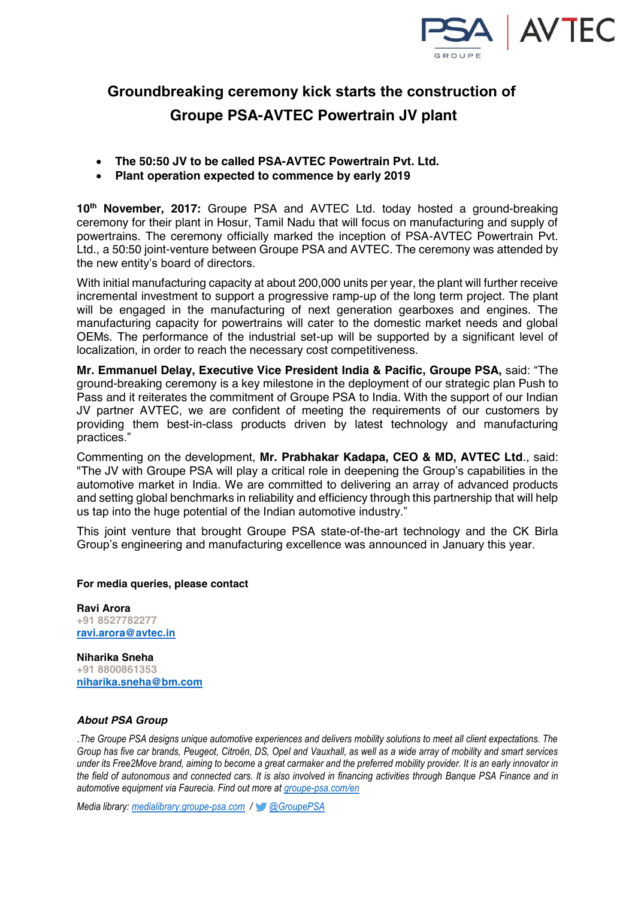

## **Groundbreaking ceremony kick starts the construction of Groupe PSA-AVTEC Powertrain JV plant**

- ! **The 50:50 JV to be called PSA-AVTEC Powertrain Pvt. Ltd.**
- ! **Plant operation expected to commence by early 2019**

**10th November, 2017:** Groupe PSA and AVTEC Ltd. today hosted a ground-breaking ceremony for their plant in Hosur, Tamil Nadu that will focus on manufacturing and supply of powertrains. The ceremony officially marked the inception of PSA-AVTEC Powertrain Pvt. Ltd., a 50:50 joint-venture between Groupe PSA and AVTEC. The ceremony was attended by the new entity's board of directors.

With initial manufacturing capacity at about 200,000 units per year, the plant will further receive incremental investment to support a progressive ramp-up of the long term project. The plant will be engaged in the manufacturing of next generation gearboxes and engines. The manufacturing capacity for powertrains will cater to the domestic market needs and global OEMs. The performance of the industrial set-up will be supported by a significant level of localization, in order to reach the necessary cost competitiveness.

**Mr. Emmanuel Delay, Executive Vice President India & Pacific, Groupe PSA, said: "The** ground-breaking ceremony is a key milestone in the deployment of our strategic plan Push to Pass and it reiterates the commitment of Groupe PSA to India. With the support of our Indian JV partner AVTEC, we are confident of meeting the requirements of our customers by providing them best-in-class products driven by latest technology and manufacturing bractices."

Commenting on the development, **Mr. Prabhakar Kadapa, CEO & MD, AVTEC Ltd**., said: "The JV with Groupe PSA will play a critical role in deepening the Group's capabilities in the automotive market in India. We are committed to delivering an array of advanced products and setting global benchmarks in reliability and efficiency through this partnership that will help us tap into the huge potential of the Indian automotive industry."

This joint venture that brought Groupe PSA state-of-the-art technology and the CK Birla Group's engineering and manufacturing excellence was announced in January this year.

## **For media queries, please contact**

**Ravi Arora +91 8527782277 ravi.arora@avtec.in**

**Niharika Sneha +91 8800861353 niharika.sneha@bm.com**

## *About PSA Group*

The Groupe PSA designs unique automotive experiences and delivers mobility solutions to meet all client expectations. The Group has five car brands. Peugeot, Citroën, DS, Opel and Vauxhall, as well as a wide array of mobility and smart services under its Free2Move brand, aiming to become a great carmaker and the preferred mobility provider. It is an early innovator in the field of autonomous and connected cars. It is also involved in financing activities through Banque PSA Finance and in  $2$  *automotive equipment via Faurecia. Find out more at groupe-psa.com/en* 

*Media library: medialibrary.groupe-psa.com / C @ GroupePSA*